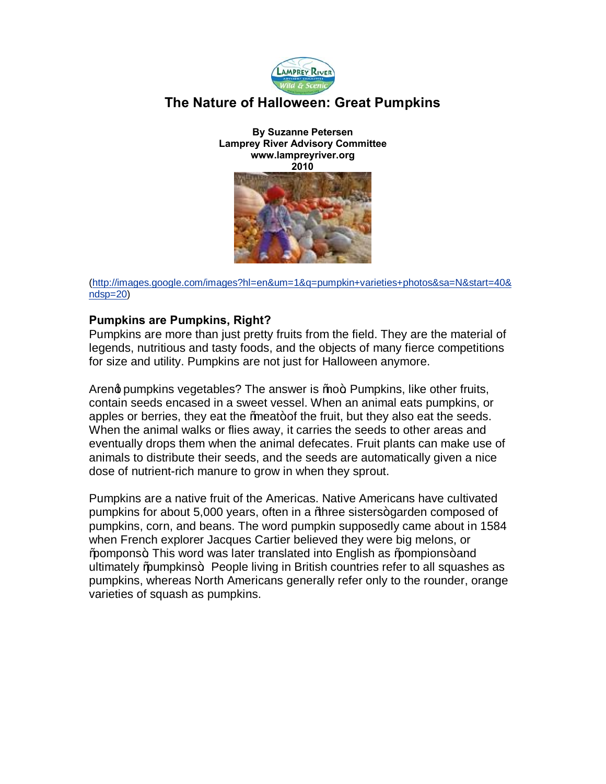

# **The Nature of Halloween: Great Pumpkins**

**By Suzanne Petersen Lamprey River Advisory Committee www.lampreyriver.org 2010**



(http://images.google.com/images?hl=en&um=1&q=pumpkin+varieties+photos&sa=N&start=40& [ndsp=20\)](http://images.google.com/images?hl=en&um=1&q=pumpkin+varieties+photos&sa=N&start=40&ndsp=20)

#### **Pumpkins are Pumpkins, Right?**

Pumpkins are more than just pretty fruits from the field. They are the material of legends, nutritious and tasty foods, and the objects of many fierce competitions for size and utility. Pumpkins are not just for Halloween anymore.

Areng pumpkins vegetables? The answer is  $%$  %  $\sigma$ . Pumpkins, like other fruits, contain seeds encased in a sweet vessel. When an animal eats pumpkins, or apples or berries, they eat the  $%$  meat+ of the fruit, but they also eat the seeds. When the animal walks or flies away, it carries the seeds to other areas and eventually drops them when the animal defecates. Fruit plants can make use of animals to distribute their seeds, and the seeds are automatically given a nice dose of nutrient-rich manure to grow in when they sprout.

Pumpkins are a native fruit of the Americas. Native Americans have cultivated pumpkins for about 5,000 years, often in a *Maree sisters+garden composed of* pumpkins, corn, and beans. The word pumpkin supposedly came about in 1584 when French explorer Jacques Cartier believed they were big melons, or "pompons". This word was later translated into English as "pompions" and ultimately "pumpkins+. People living in British countries refer to all squashes as pumpkins, whereas North Americans generally refer only to the rounder, orange varieties of squash as pumpkins.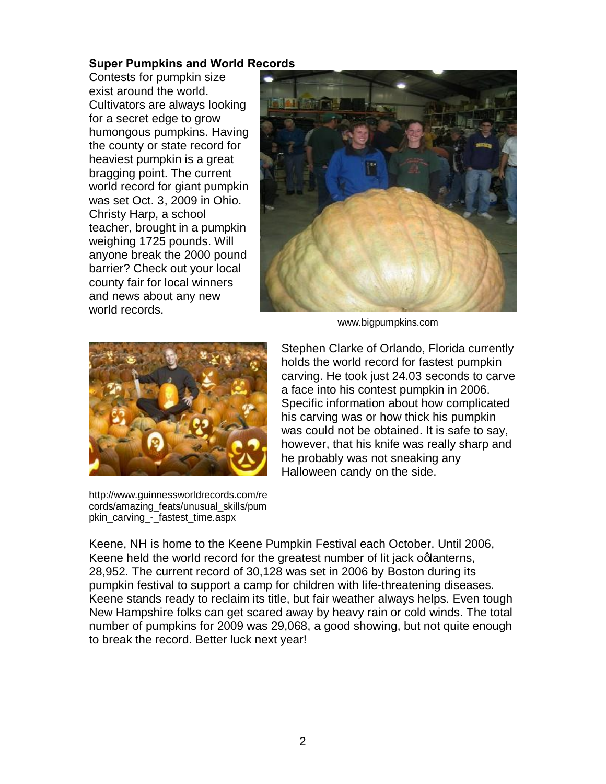## **Super Pumpkins and World Records**

Contests for pumpkin size exist around the world. Cultivators are always looking for a secret edge to grow humongous pumpkins. Having the county or state record for heaviest pumpkin is a great bragging point. The current world record for giant pumpkin was set Oct. 3, 2009 in Ohio. Christy Harp, a school teacher, brought in a pumpkin weighing 1725 pounds. Will anyone break the 2000 pound barrier? Check out your local county fair for local winners and news about any new world records.



www.bigpumpkins.com



http://www.guinnessworldrecords.com/re cords/amazing\_feats/unusual\_skills/pum pkin\_carving\_-\_fastest\_time.aspx

Stephen Clarke of Orlando, Florida currently holds the world record for fastest pumpkin carving. He took just 24.03 seconds to carve a face into his contest pumpkin in 2006. Specific information about how complicated his carving was or how thick his pumpkin was could not be obtained. It is safe to say, however, that his knife was really sharp and he probably was not sneaking any Halloween candy on the side.

Keene, NH is home to the Keene Pumpkin Festival each October. Until 2006, Keene held the world record for the greatest number of lit jack oglanterns, 28,952. The current record of 30,128 was set in 2006 by Boston during its pumpkin festival to support a camp for children with life-threatening diseases. Keene stands ready to reclaim its title, but fair weather always helps. Even tough New Hampshire folks can get scared away by heavy rain or cold winds. The total number of pumpkins for 2009 was 29,068, a good showing, but not quite enough to break the record. Better luck next year!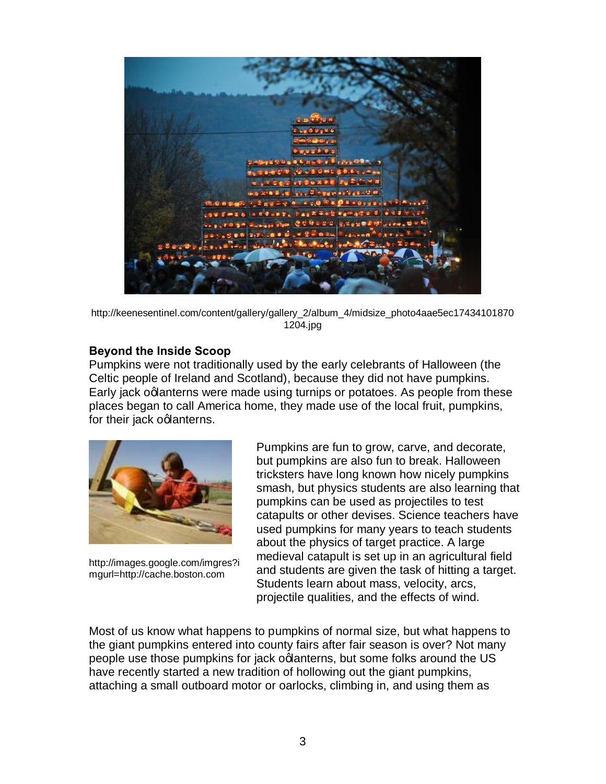

http://keenesentinel.com/content/gallery/gallery\_2/album\_4/midsize\_photo4aae5ec17434101870 1204.jpg

## **Beyond the Inside Scoop**

Pumpkins were not traditionally used by the early celebrants of Halloween (the Celtic people of Ireland and Scotland), because they did not have pumpkins. Early jack oglanterns were made using turnips or potatoes. As people from these places began to call America home, they made use of the local fruit, pumpkins, for their jack oglanterns.



http://images.google.com/imgres?i mgurl=http://cache.boston.com

Pumpkins are fun to grow, carve, and decorate, but pumpkins are also fun to break. Halloween tricksters have long known how nicely pumpkins smash, but physics students are also learning that pumpkins can be used as projectiles to test catapults or other devises. Science teachers have used pumpkins for many years to teach students about the physics of target practice. A large medieval catapult is set up in an agricultural field and students are given the task of hitting a target. Students learn about mass, velocity, arcs, projectile qualities, and the effects of wind.

Most of us know what happens to pumpkins of normal size, but what happens to the giant pumpkins entered into county fairs after fair season is over? Not many people use those pumpkins for jack oglanterns, but some folks around the US have recently started a new tradition of hollowing out the giant pumpkins, attaching a small outboard motor or oarlocks, climbing in, and using them as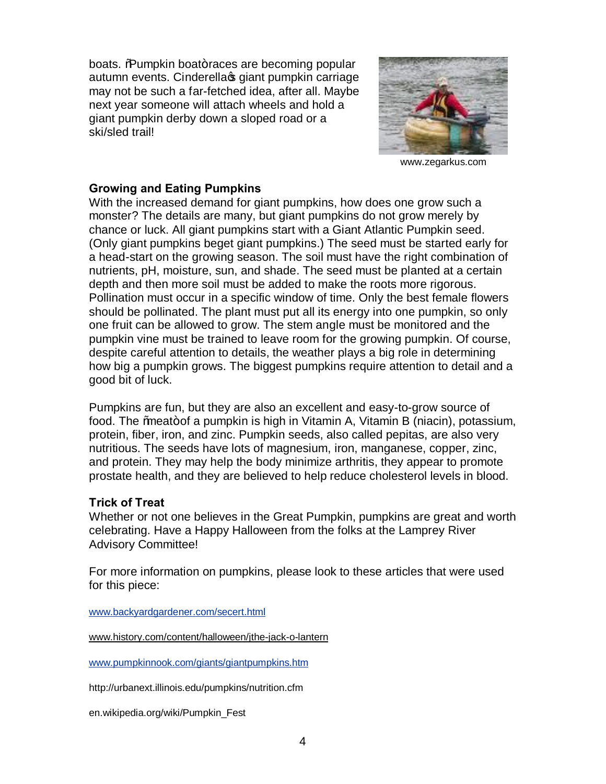boats. %Rumpkin boat+races are becoming popular autumn events. Cinderellas giant pumpkin carriage may not be such a far-fetched idea, after all. Maybe next year someone will attach wheels and hold a giant pumpkin derby down a sloped road or a ski/sled trail!



www.zegarkus.com

### **Growing and Eating Pumpkins**

With the increased demand for giant pumpkins, how does one grow such a monster? The details are many, but giant pumpkins do not grow merely by chance or luck. All giant pumpkins start with a Giant Atlantic Pumpkin seed. (Only giant pumpkins beget giant pumpkins.) The seed must be started early for a head-start on the growing season. The soil must have the right combination of nutrients, pH, moisture, sun, and shade. The seed must be planted at a certain depth and then more soil must be added to make the roots more rigorous. Pollination must occur in a specific window of time. Only the best female flowers should be pollinated. The plant must put all its energy into one pumpkin, so only one fruit can be allowed to grow. The stem angle must be monitored and the pumpkin vine must be trained to leave room for the growing pumpkin. Of course, despite careful attention to details, the weather plays a big role in determining how big a pumpkin grows. The biggest pumpkins require attention to detail and a good bit of luck.

Pumpkins are fun, but they are also an excellent and easy-to-grow source of food. The *%* meat + of a pumpkin is high in Vitamin A, Vitamin B (niacin), potassium, protein, fiber, iron, and zinc. Pumpkin seeds, also called pepitas, are also very nutritious. The seeds have lots of magnesium, iron, manganese, copper, zinc, and protein. They may help the body minimize arthritis, they appear to promote prostate health, and they are believed to help reduce cholesterol levels in blood.

## **Trick of Treat**

Whether or not one believes in the Great Pumpkin, pumpkins are great and worth celebrating. Have a Happy Halloween from the folks at the Lamprey River Advisory Committee!

For more information on pumpkins, please look to these articles that were used for this piece:

[www.backyardgardener.com/secert.html](http://www.backyardgardener.com/secert.html)

www.history.com/content/halloween/jthe-jack-o-lantern

[www.pumpkinnook.com/giants/giantpumpkins.htm](http://www.pumpkinnook.com/giants/giantpumpkins.htm)

http://urbanext.illinois.edu/pumpkins/nutrition.cfm

en.wikipedia.org/wiki/Pumpkin\_Fest